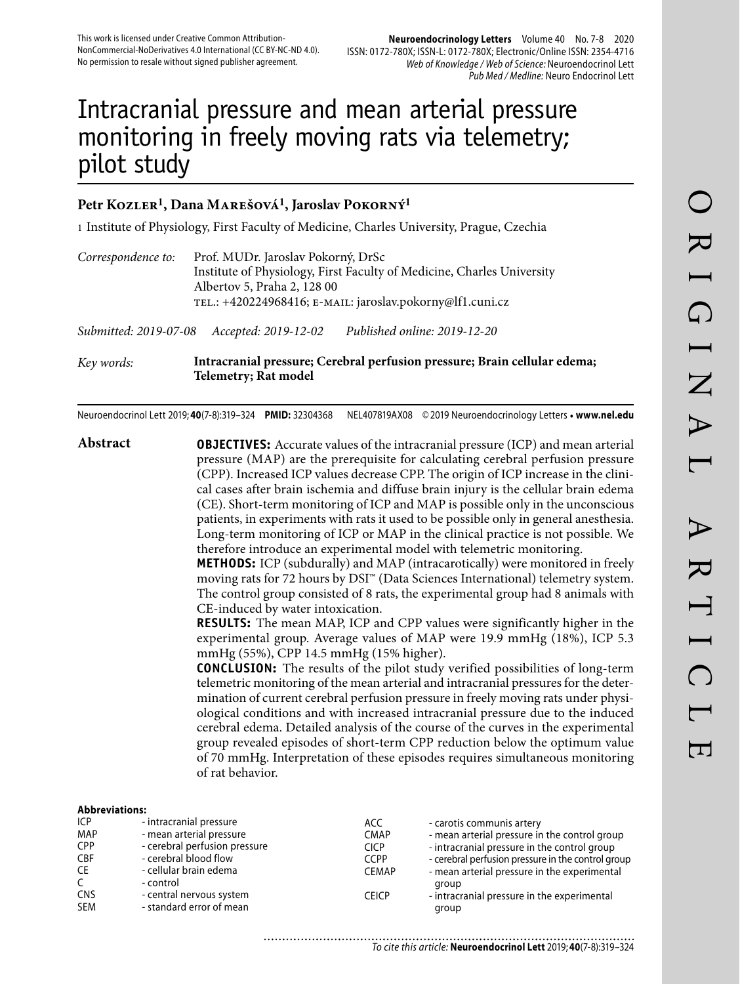# Intracranial pressure and mean arterial pressure monitoring in freely moving rats via telemetry; pilot study

## Petr Kozler<sup>1</sup>, Dana MAREŠOVÁ<sup>1</sup>, Jaroslav POKORNÝ<sup>1</sup>

1 Institute of Physiology, First Faculty of Medicine, Charles University, Prague, Czechia

| Correspondence to:    | Prof. MUDr. Jaroslav Pokorný, DrSc<br>Institute of Physiology, First Faculty of Medicine, Charles University<br>Albertov 5, Praha 2, 128 00<br>TEL.: +420224968416; E-MAIL: jaroslav.pokorny@lf1.cuni.cz |                              |  |
|-----------------------|----------------------------------------------------------------------------------------------------------------------------------------------------------------------------------------------------------|------------------------------|--|
| Submitted: 2019-07-08 | Accepted: 2019-12-02                                                                                                                                                                                     | Published online: 2019-12-20 |  |
|                       |                                                                                                                                                                                                          |                              |  |

*Key words:* **Intracranial pressure; Cerebral perfusion pressure; Brain cellular edema; Telemetry; Rat model** 

Neuroendocrinol Lett 2019; **40**(7-8):319–324 **PMID:** 32304368 NEL407819AX08 © 2019 Neuroendocrinology Letters • **www.nel.edu**

**Abstract OBJECTIVES:** Accurate values of the intracranial pressure (ICP) and mean arterial pressure (MAP) are the prerequisite for calculating cerebral perfusion pressure (CPP). Increased ICP values decrease CPP. The origin of ICP increase in the clinical cases after brain ischemia and diffuse brain injury is the cellular brain edema (CE). Short-term monitoring of ICP and MAP is possible only in the unconscious patients, in experiments with rats it used to be possible only in general anesthesia. Long-term monitoring of ICP or MAP in the clinical practice is not possible. We therefore introduce an experimental model with telemetric monitoring.

**METHODS:** ICP (subdurally) and MAP (intracarotically) were monitored in freely moving rats for 72 hours by DSI™ (Data Sciences International) telemetry system. The control group consisted of 8 rats, the experimental group had 8 animals with CE-induced by water intoxication.

**RESULTS:** The mean MAP, ICP and CPP values were significantly higher in the experimental group. Average values of MAP were 19.9 mmHg (18%), ICP 5.3 mmHg (55%), CPP 14.5 mmHg (15% higher).

**CONCLUSION:** The results of the pilot study verified possibilities of long-term telemetric monitoring of the mean arterial and intracranial pressures for the determination of current cerebral perfusion pressure in freely moving rats under physiological conditions and with increased intracranial pressure due to the induced cerebral edema. Detailed analysis of the course of the curves in the experimental group revealed episodes of short-term CPP reduction below the optimum value of 70 mmHg. Interpretation of these episodes requires simultaneous monitoring of rat behavior.

| .            |                               |              |                                                    |
|--------------|-------------------------------|--------------|----------------------------------------------------|
| ICP          | - intracranial pressure       | ACC.         | - carotis communis artery                          |
| MAP          | - mean arterial pressure      | <b>CMAP</b>  | - mean arterial pressure in the control group      |
| <b>CPP</b>   | - cerebral perfusion pressure | <b>CICP</b>  | - intracranial pressure in the control group       |
| <b>CBF</b>   | - cerebral blood flow         | <b>CCPP</b>  | - cerebral perfusion pressure in the control group |
| CE           | - cellular brain edema        | <b>CEMAP</b> | - mean arterial pressure in the experimental       |
| $\mathsf{C}$ | - control                     |              | group                                              |
| <b>CNS</b>   | - central nervous system      | <b>CEICP</b> | - intracranial pressure in the experimental        |
| <b>SEM</b>   | - standard error of mean      |              | group                                              |
|              |                               |              |                                                    |

......................... To cite this article: **Neuroendocrinol Lett** 2019; **40**(7-8):319–324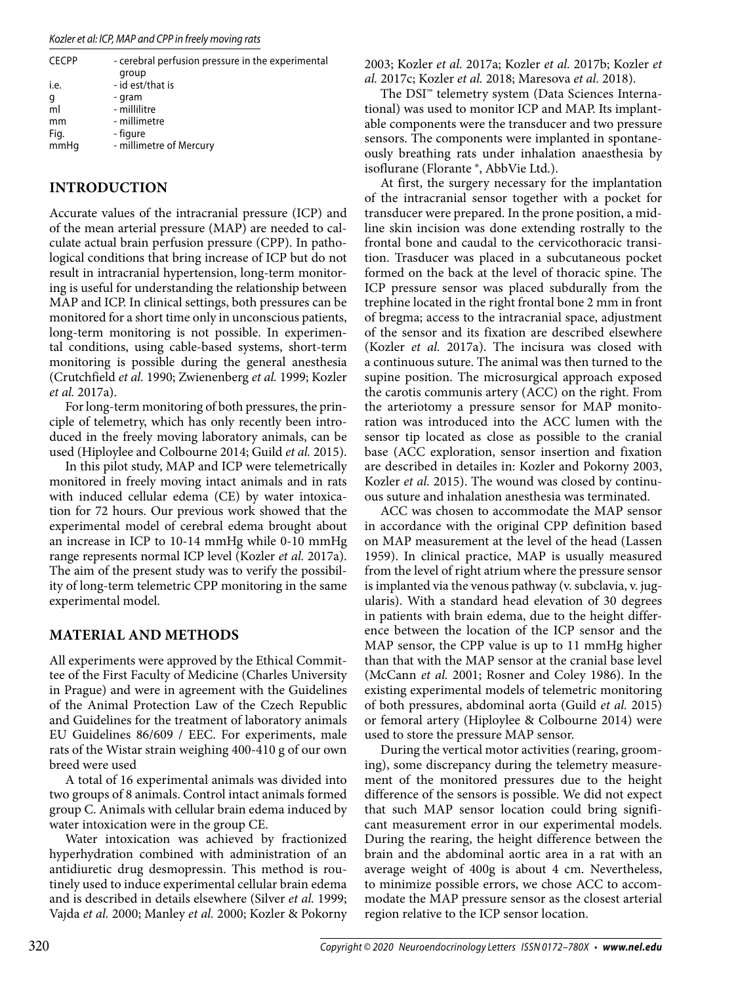| <b>CECPP</b> | - cerebral perfusion pressure in the experimental<br>group |
|--------------|------------------------------------------------------------|
| i.e.         | - id est/that is                                           |
| g            | - gram                                                     |
| ml           | - millilitre                                               |
| mm           | - millimetre                                               |
| Fig.         | - figure                                                   |
| mmHq         | - millimetre of Mercury                                    |
|              |                                                            |

# **INTRODUCTION**

Accurate values of the intracranial pressure (ICP) and of the mean arterial pressure (MAP) are needed to calculate actual brain perfusion pressure (CPP). In pathological conditions that bring increase of ICP but do not result in intracranial hypertension, long-term monitoring is useful for understanding the relationship between MAP and ICP. In clinical settings, both pressures can be monitored for a short time only in unconscious patients, long-term monitoring is not possible. In experimental conditions, using cable-based systems, short-term monitoring is possible during the general anesthesia (Crutchfield *et al.* 1990; Zwienenberg *et al.* 1999; Kozler *et al.* 2017a).

For long-term monitoring of both pressures, the principle of telemetry, which has only recently been introduced in the freely moving laboratory animals, can be used (Hiploylee and Colbourne 2014; Guild *et al.* 2015).

In this pilot study, MAP and ICP were telemetrically monitored in freely moving intact animals and in rats with induced cellular edema (CE) by water intoxication for 72 hours. Our previous work showed that the experimental model of cerebral edema brought about an increase in ICP to 10-14 mmHg while 0-10 mmHg range represents normal ICP level (Kozler *et al.* 2017a). The aim of the present study was to verify the possibility of long-term telemetric CPP monitoring in the same experimental model.

# **MATERIAL AND METHODS**

All experiments were approved by the Ethical Committee of the First Faculty of Medicine (Charles University in Prague) and were in agreement with the Guidelines of the Animal Protection Law of the Czech Republic and Guidelines for the treatment of laboratory animals EU Guidelines 86/609 / EEC. For experiments, male rats of the Wistar strain weighing 400-410 g of our own breed were used

A total of 16 experimental animals was divided into two groups of 8 animals. Control intact animals formed group C. Animals with cellular brain edema induced by water intoxication were in the group CE.

Water intoxication was achieved by fractionized hyperhydration combined with administration of an antidiuretic drug desmopressin. This method is routinely used to induce experimental cellular brain edema and is described in details elsewhere (Silver *et al.* 1999; Vajda *et al.* 2000; Manley *et al.* 2000; Kozler & Pokorny 2003; Kozler *et al.* 2017a; Kozler *et al.* 2017b; Kozler *et al.* 2017c; Kozler *et al.* 2018; Maresova *et al.* 2018).

The DSI™ telemetry system (Data Sciences International) was used to monitor ICP and MAP. Its implantable components were the transducer and two pressure sensors. The components were implanted in spontaneously breathing rats under inhalation anaesthesia by isoflurane (Florante ®, AbbVie Ltd.).

At first, the surgery necessary for the implantation of the intracranial sensor together with a pocket for transducer were prepared. In the prone position, a midline skin incision was done extending rostrally to the frontal bone and caudal to the cervicothoracic transition. Trasducer was placed in a subcutaneous pocket formed on the back at the level of thoracic spine. The ICP pressure sensor was placed subdurally from the trephine located in the right frontal bone 2 mm in front of bregma; access to the intracranial space, adjustment of the sensor and its fixation are described elsewhere (Kozler *et al.* 2017a). The incisura was closed with a continuous suture. The animal was then turned to the supine position. The microsurgical approach exposed the carotis communis artery (ACC) on the right. From the arteriotomy a pressure sensor for MAP monitoration was introduced into the ACC lumen with the sensor tip located as close as possible to the cranial base (ACC exploration, sensor insertion and fixation are described in detailes in: Kozler and Pokorny 2003, Kozler *et al.* 2015). The wound was closed by continuous suture and inhalation anesthesia was terminated.

ACC was chosen to accommodate the MAP sensor in accordance with the original CPP definition based on MAP measurement at the level of the head (Lassen 1959). In clinical practice, MAP is usually measured from the level of right atrium where the pressure sensor is implanted via the venous pathway (v. subclavia, v. jugularis). With a standard head elevation of 30 degrees in patients with brain edema, due to the height difference between the location of the ICP sensor and the MAP sensor, the CPP value is up to 11 mmHg higher than that with the MAP sensor at the cranial base level (McCann *et al.* 2001; Rosner and Coley 1986). In the existing experimental models of telemetric monitoring of both pressures, abdominal aorta (Guild *et al.* 2015) or femoral artery (Hiploylee & Colbourne 2014) were used to store the pressure MAP sensor.

During the vertical motor activities (rearing, grooming), some discrepancy during the telemetry measurement of the monitored pressures due to the height difference of the sensors is possible. We did not expect that such MAP sensor location could bring significant measurement error in our experimental models. During the rearing, the height difference between the brain and the abdominal aortic area in a rat with an average weight of 400g is about 4 cm. Nevertheless, to minimize possible errors, we chose ACC to accommodate the MAP pressure sensor as the closest arterial region relative to the ICP sensor location.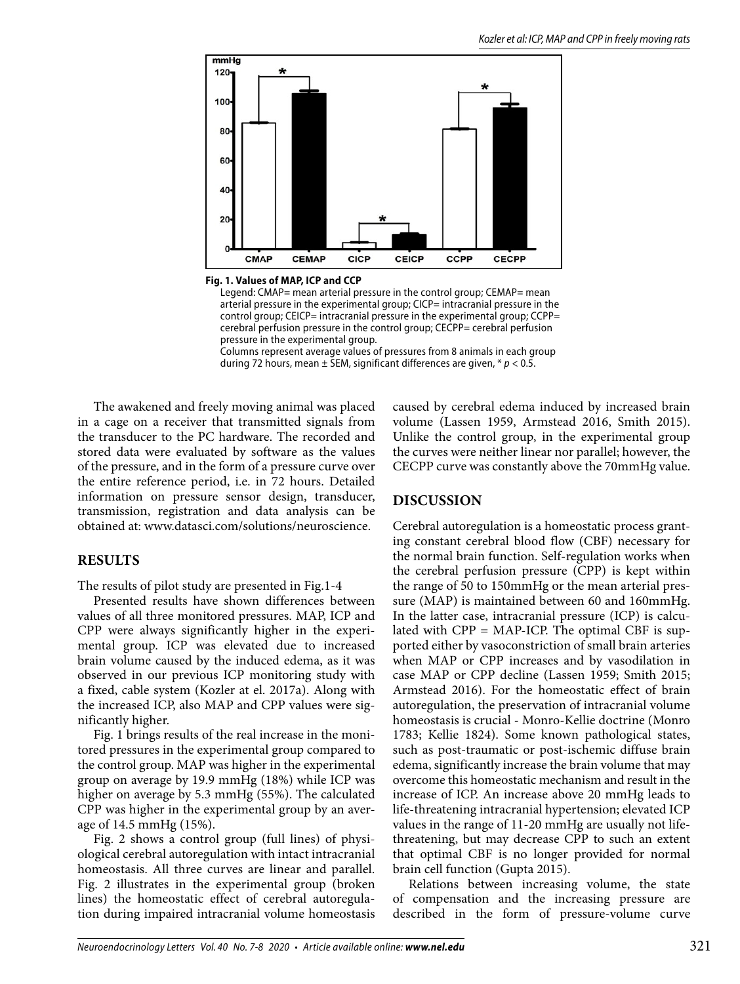

**Fig. 1. Values of MAP, ICP and CCP**

Legend: CMAP= mean arterial pressure in the control group; CEMAP= mean arterial pressure in the experimental group; CICP= intracranial pressure in the control group; CEICP= intracranial pressure in the experimental group; CCPP= cerebral perfusion pressure in the control group; CECPP= cerebral perfusion pressure in the experimental group. Columns represent average values of pressures from 8 animals in each group

during 72 hours, mean  $\pm$  SEM, significant differences are given,  $* p < 0.5$ .

The awakened and freely moving animal was placed in a cage on a receiver that transmitted signals from the transducer to the PC hardware. The recorded and stored data were evaluated by software as the values of the pressure, and in the form of a pressure curve over the entire reference period, i.e. in 72 hours. Detailed information on pressure sensor design, transducer, transmission, registration and data analysis can be obtained at: www.datasci.com/solutions/neuroscience.

### **RESULTS**

The results of pilot study are presented in Fig.1-4

Presented results have shown differences between values of all three monitored pressures. MAP, ICP and CPP were always significantly higher in the experimental group. ICP was elevated due to increased brain volume caused by the induced edema, as it was observed in our previous ICP monitoring study with a fixed, cable system (Kozler at el. 2017a). Along with the increased ICP, also MAP and CPP values were significantly higher.

Fig. 1 brings results of the real increase in the monitored pressures in the experimental group compared to the control group. MAP was higher in the experimental group on average by 19.9 mmHg (18%) while ICP was higher on average by 5.3 mmHg (55%). The calculated CPP was higher in the experimental group by an average of 14.5 mmHg (15%).

Fig. 2 shows a control group (full lines) of physiological cerebral autoregulation with intact intracranial homeostasis. All three curves are linear and parallel. Fig. 2 illustrates in the experimental group (broken lines) the homeostatic effect of cerebral autoregulation during impaired intracranial volume homeostasis

caused by cerebral edema induced by increased brain volume (Lassen 1959, Armstead 2016, Smith 2015). Unlike the control group, in the experimental group the curves were neither linear nor parallel; however, the CECPP curve was constantly above the 70mmHg value.

### **DISCUSSION**

Cerebral autoregulation is a homeostatic process granting constant cerebral blood flow (CBF) necessary for the normal brain function. Self-regulation works when the cerebral perfusion pressure (CPP) is kept within the range of 50 to 150mmHg or the mean arterial pressure (MAP) is maintained between 60 and 160mmHg. In the latter case, intracranial pressure (ICP) is calculated with  $CPP = MAP$ -ICP. The optimal CBF is supported either by vasoconstriction of small brain arteries when MAP or CPP increases and by vasodilation in case MAP or CPP decline (Lassen 1959; Smith 2015; Armstead 2016). For the homeostatic effect of brain autoregulation, the preservation of intracranial volume homeostasis is crucial - Monro-Kellie doctrine (Monro 1783; Kellie 1824). Some known pathological states, such as post-traumatic or post-ischemic diffuse brain edema, significantly increase the brain volume that may overcome this homeostatic mechanism and result in the increase of ICP. An increase above 20 mmHg leads to life-threatening intracranial hypertension; elevated ICP values in the range of 11-20 mmHg are usually not lifethreatening, but may decrease CPP to such an extent that optimal CBF is no longer provided for normal brain cell function (Gupta 2015).

Relations between increasing volume, the state of compensation and the increasing pressure are described in the form of pressure-volume curve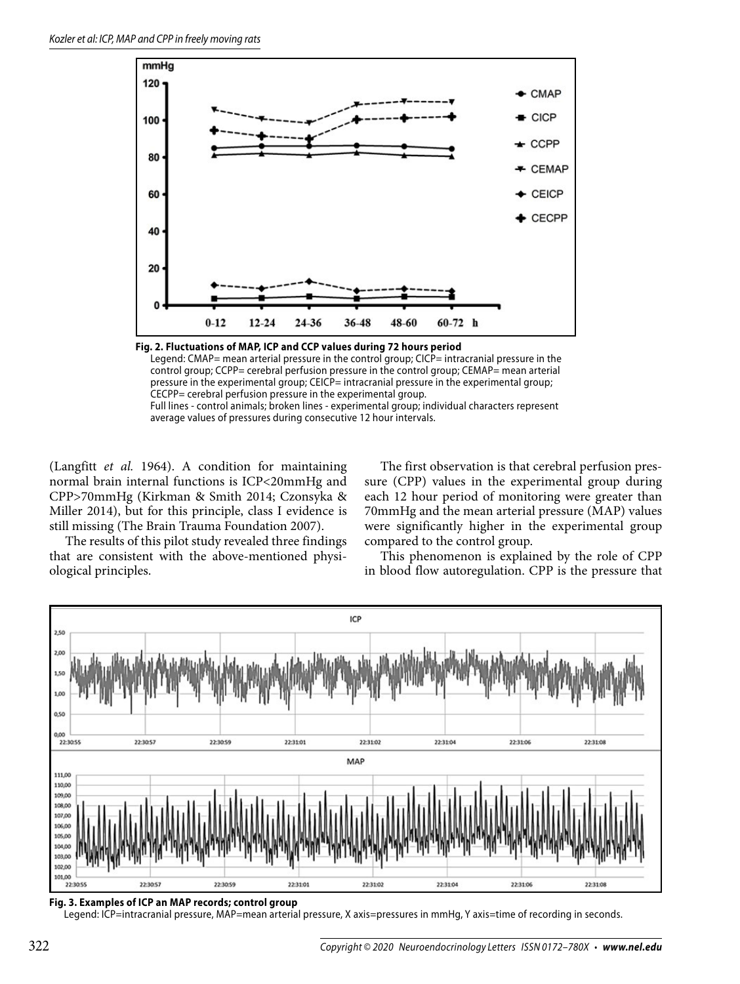

**Fig. 2. Fluctuations of MAP, ICP and CCP values during 72 hours period** Legend: CMAP= mean arterial pressure in the control group; CICP= intracranial pressure in the control group; CCPP= cerebral perfusion pressure in the control group; CEMAP= mean arterial pressure in the experimental group; CEICP= intracranial pressure in the experimental group; CECPP= cerebral perfusion pressure in the experimental group. Full lines - control animals; broken lines - experimental group; individual characters represent average values of pressures during consecutive 12 hour intervals.

(Langfitt *et al.* 1964). A condition for maintaining normal brain internal functions is ICP<20mmHg and CPP>70mmHg (Kirkman & Smith 2014; Czonsyka & Miller 2014), but for this principle, class I evidence is still missing (The Brain Trauma Foundation 2007).

The results of this pilot study revealed three findings that are consistent with the above-mentioned physiological principles.

The first observation is that cerebral perfusion pressure (CPP) values in the experimental group during each 12 hour period of monitoring were greater than 70mmHg and the mean arterial pressure (MAP) values were significantly higher in the experimental group compared to the control group.

This phenomenon is explained by the role of CPP in blood flow autoregulation. CPP is the pressure that



**Fig. 3. Examples of ICP an MAP records; control group**

Legend: ICP=intracranial pressure, MAP=mean arterial pressure, X axis=pressures in mmHg, Y axis=time of recording in seconds.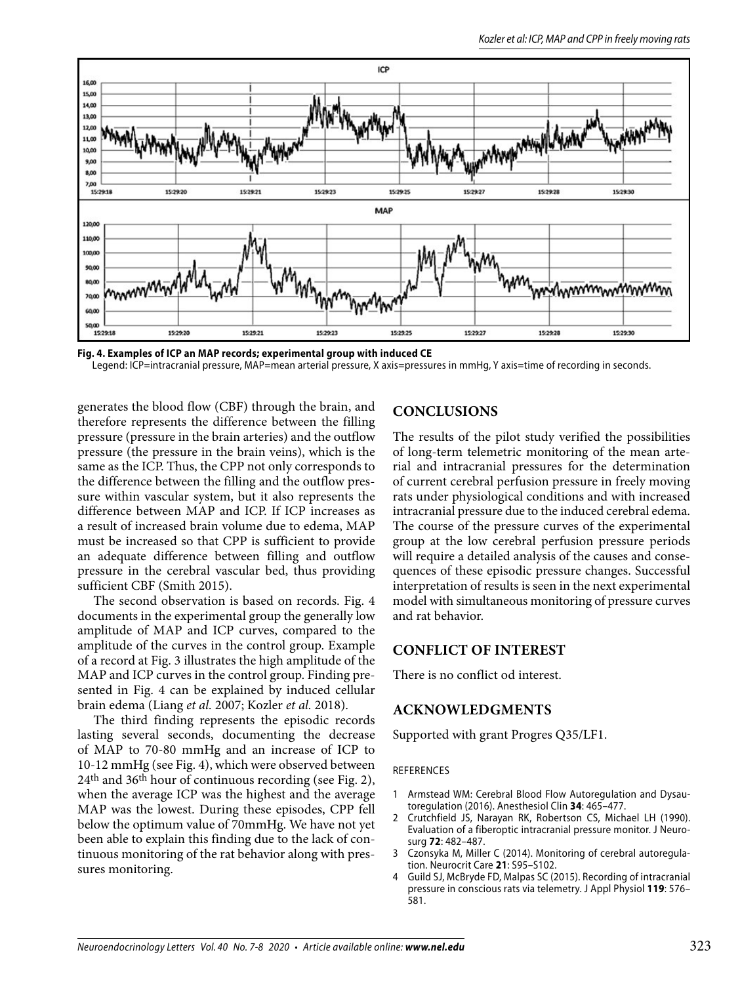



generates the blood flow (CBF) through the brain, and therefore represents the difference between the filling pressure (pressure in the brain arteries) and the outflow pressure (the pressure in the brain veins), which is the same as the ICP. Thus, the CPP not only corresponds to the difference between the filling and the outflow pressure within vascular system, but it also represents the difference between MAP and ICP. If ICP increases as a result of increased brain volume due to edema, MAP must be increased so that CPP is sufficient to provide an adequate difference between filling and outflow pressure in the cerebral vascular bed, thus providing sufficient CBF (Smith 2015).

The second observation is based on records. Fig. 4 documents in the experimental group the generally low amplitude of MAP and ICP curves, compared to the amplitude of the curves in the control group. Example of a record at Fig. 3 illustrates the high amplitude of the MAP and ICP curves in the control group. Finding presented in Fig. 4 can be explained by induced cellular brain edema (Liang *et al.* 2007; Kozler *et al.* 2018).

The third finding represents the episodic records lasting several seconds, documenting the decrease of MAP to 70-80 mmHg and an increase of ICP to 10-12 mmHg (see Fig. 4), which were observed between 24th and 36th hour of continuous recording (see Fig. 2), when the average ICP was the highest and the average MAP was the lowest. During these episodes, CPP fell below the optimum value of 70mmHg. We have not yet been able to explain this finding due to the lack of continuous monitoring of the rat behavior along with pressures monitoring.

# **CONCLUSIONS**

The results of the pilot study verified the possibilities of long-term telemetric monitoring of the mean arterial and intracranial pressures for the determination of current cerebral perfusion pressure in freely moving rats under physiological conditions and with increased intracranial pressure due to the induced cerebral edema. The course of the pressure curves of the experimental group at the low cerebral perfusion pressure periods will require a detailed analysis of the causes and consequences of these episodic pressure changes. Successful interpretation of results is seen in the next experimental model with simultaneous monitoring of pressure curves and rat behavior.

## **CONFLICT OF INTEREST**

There is no conflict od interest.

### **ACKNOWLEDGMENTS**

Supported with grant Progres Q35/LF1.

#### REFERENCES

- 1 Armstead WM: Cerebral Blood Flow Autoregulation and Dysautoregulation (2016). Anesthesiol Clin **34**: 465–477.
- 2 Crutchfield JS, Narayan RK, Robertson CS, Michael LH (1990). Evaluation of a fiberoptic intracranial pressure monitor. J Neurosurg **72**: 482–487.
- 3 Czonsyka M, Miller C (2014). Monitoring of cerebral autoregulation. Neurocrit Care **21**: S95–S102.
- 4 Guild SJ, McBryde FD, Malpas SC (2015). Recording of intracranial pressure in conscious rats via telemetry. J Appl Physiol **119**: 576– 581.